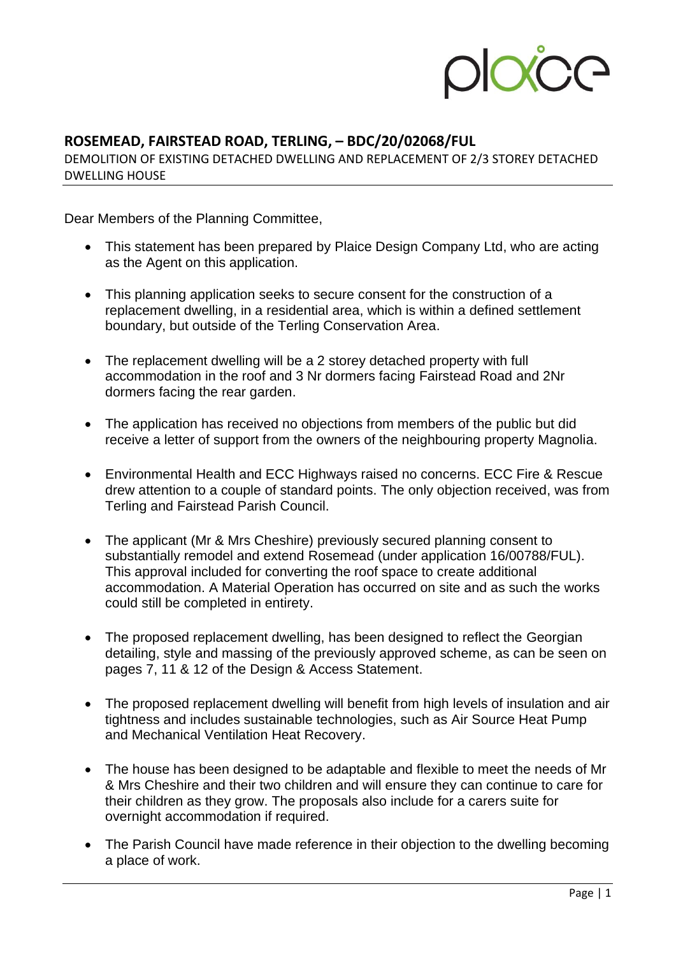

## **ROSEMEAD, FAIRSTEAD ROAD, TERLING, – BDC/20/02068/FUL**

DEMOLITION OF EXISTING DETACHED DWELLING AND REPLACEMENT OF 2/3 STOREY DETACHED DWELLING HOUSE

Dear Members of the Planning Committee,

- This statement has been prepared by Plaice Design Company Ltd, who are acting as the Agent on this application.
- This planning application seeks to secure consent for the construction of a replacement dwelling, in a residential area, which is within a defined settlement boundary, but outside of the Terling Conservation Area.
- The replacement dwelling will be a 2 storey detached property with full accommodation in the roof and 3 Nr dormers facing Fairstead Road and 2Nr dormers facing the rear garden.
- The application has received no objections from members of the public but did receive a letter of support from the owners of the neighbouring property Magnolia.
- Environmental Health and ECC Highways raised no concerns. ECC Fire & Rescue drew attention to a couple of standard points. The only objection received, was from Terling and Fairstead Parish Council.
- The applicant (Mr & Mrs Cheshire) previously secured planning consent to substantially remodel and extend Rosemead (under application 16/00788/FUL). This approval included for converting the roof space to create additional accommodation. A Material Operation has occurred on site and as such the works could still be completed in entirety.
- The proposed replacement dwelling, has been designed to reflect the Georgian detailing, style and massing of the previously approved scheme, as can be seen on pages 7, 11 & 12 of the Design & Access Statement.
- The proposed replacement dwelling will benefit from high levels of insulation and air tightness and includes sustainable technologies, such as Air Source Heat Pump and Mechanical Ventilation Heat Recovery.
- The house has been designed to be adaptable and flexible to meet the needs of Mr & Mrs Cheshire and their two children and will ensure they can continue to care for their children as they grow. The proposals also include for a carers suite for overnight accommodation if required.
- The Parish Council have made reference in their objection to the dwelling becoming a place of work.